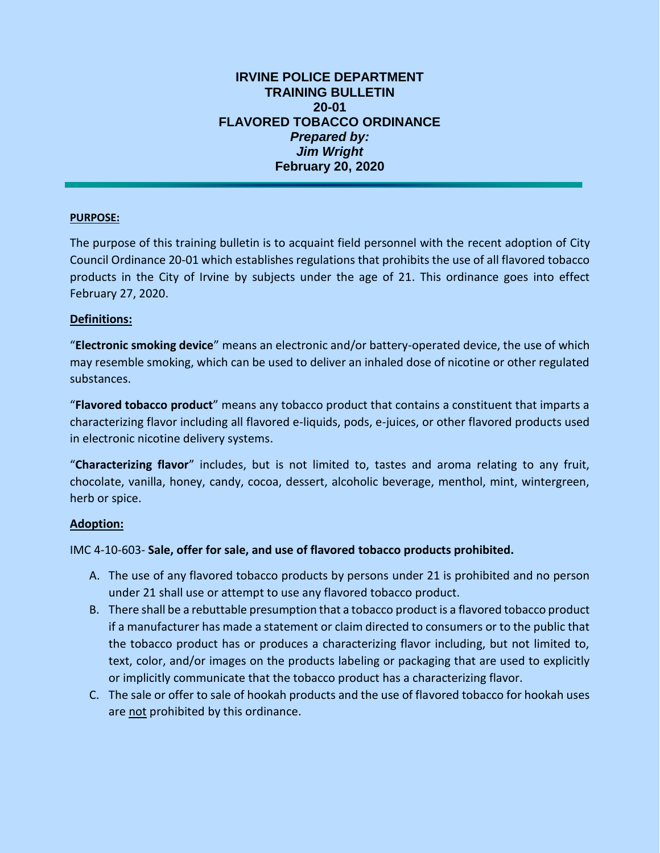## **IRVINE POLICE DEPARTMENT TRAINING BULLETIN 20-01 FLAVORED TOBACCO ORDINANCE** *Prepared by: Jim Wright* **February 20, 2020**

# **PURPOSE:**

The purpose of this training bulletin is to acquaint field personnel with the recent adoption of City Council Ordinance 20-01 which establishes regulations that prohibits the use of all flavored tobacco products in the City of Irvine by subjects under the age of 21. This ordinance goes into effect February 27, 2020.

## **Definitions:**

"**Electronic smoking device**" means an electronic and/or battery-operated device, the use of which may resemble smoking, which can be used to deliver an inhaled dose of nicotine or other regulated substances.

"**Flavored tobacco product**" means any tobacco product that contains a constituent that imparts a characterizing flavor including all flavored e-liquids, pods, e-juices, or other flavored products used in electronic nicotine delivery systems.

"**Characterizing flavor**" includes, but is not limited to, tastes and aroma relating to any fruit, chocolate, vanilla, honey, candy, cocoa, dessert, alcoholic beverage, menthol, mint, wintergreen, herb or spice.

#### **Adoption:**

IMC 4-10-603- **Sale, offer for sale, and use of flavored tobacco products prohibited.**

- A. The use of any flavored tobacco products by persons under 21 is prohibited and no person under 21 shall use or attempt to use any flavored tobacco product.
- B. There shall be a rebuttable presumption that a tobacco product is a flavored tobacco product if a manufacturer has made a statement or claim directed to consumers or to the public that the tobacco product has or produces a characterizing flavor including, but not limited to, text, color, and/or images on the products labeling or packaging that are used to explicitly or implicitly communicate that the tobacco product has a characterizing flavor.
- C. The sale or offer to sale of hookah products and the use of flavored tobacco for hookah uses are not prohibited by this ordinance.